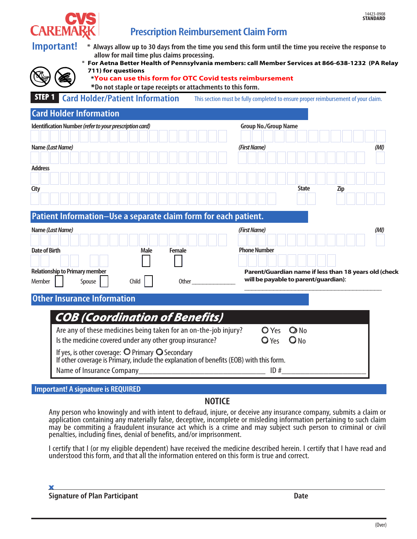



# **Prescription Reimbursement Claim Form**

| * Always allow up to 30 days from the time you send this form until the time you receive the response to |
|----------------------------------------------------------------------------------------------------------|
| allow for mail time plus claims processing.                                                              |



\* **For Aetna Better Health of Pennsylvania members: call Member Services at 866-638-1232 (PA Relay 711) for questions**

**\*You can use this form for OTC Covid tests reimbursement**

**\*Do not staple or tape receipts or attachments to this form.** 

**STEP 1 Card Holder/Patient Information** This section must be fully completed to ensure proper reimbursement of your claim.

#### **Card Holder Information**

|                      | Cara Holder Information                                                                                                                     |        |  |       |             |  |               |       |  |  |  |                                     |                                      |                                |              |  |            |  |                                                       |
|----------------------|---------------------------------------------------------------------------------------------------------------------------------------------|--------|--|-------|-------------|--|---------------|-------|--|--|--|-------------------------------------|--------------------------------------|--------------------------------|--------------|--|------------|--|-------------------------------------------------------|
|                      | Identification Number (refer to your prescription card)                                                                                     |        |  |       |             |  |               |       |  |  |  |                                     | <b>Group No./Group Name</b>          |                                |              |  |            |  |                                                       |
|                      | Name (Last Name)                                                                                                                            |        |  |       |             |  |               |       |  |  |  | (First Name)                        |                                      |                                |              |  |            |  | (MI)                                                  |
| <b>Address</b>       |                                                                                                                                             |        |  |       |             |  |               |       |  |  |  |                                     |                                      |                                |              |  |            |  |                                                       |
| City                 |                                                                                                                                             |        |  |       |             |  |               |       |  |  |  |                                     |                                      |                                | <b>State</b> |  | <b>Zip</b> |  |                                                       |
|                      | Patient Information-Use a separate claim form for each patient.                                                                             |        |  |       |             |  |               |       |  |  |  |                                     |                                      |                                |              |  |            |  |                                                       |
| <b>Date of Birth</b> | Name (Last Name)                                                                                                                            |        |  |       | <b>Male</b> |  | <b>Female</b> |       |  |  |  | (First Name)<br><b>Phone Number</b> |                                      |                                |              |  |            |  | (MI)                                                  |
|                      |                                                                                                                                             |        |  |       |             |  |               |       |  |  |  |                                     |                                      |                                |              |  |            |  |                                                       |
| Member               | <b>Relationship to Primary member</b>                                                                                                       | Spouse |  | Child |             |  |               | Other |  |  |  |                                     | will be payable to parent/guardian): |                                |              |  |            |  | Parent/Guardian name if less than 18 years old (check |
|                      | <b>Other Insurance Information</b>                                                                                                          |        |  |       |             |  |               |       |  |  |  |                                     |                                      |                                |              |  |            |  |                                                       |
|                      | <b>COB (Coordination of Benefits)</b>                                                                                                       |        |  |       |             |  |               |       |  |  |  |                                     |                                      |                                |              |  |            |  |                                                       |
|                      | Are any of these medicines being taken for an on-the-job injury?<br>Is the medicine covered under any other group insurance?                |        |  |       |             |  |               |       |  |  |  |                                     | <b>O</b> Yes<br>$\bigcirc$ Yes       | $\bigcirc$ No<br>$\bigcirc$ No |              |  |            |  |                                                       |
|                      | If yes, is other coverage: O Primary O Secondary<br>If other coverage is Primary, include the explanation of benefits (EOB) with this form. |        |  |       |             |  |               |       |  |  |  |                                     |                                      |                                |              |  |            |  |                                                       |
|                      | Name of Insurance Company                                                                                                                   |        |  |       |             |  |               |       |  |  |  |                                     | ID#                                  |                                |              |  |            |  |                                                       |

#### **Important! A signature is REQUIRED**

#### **NOTICE**

Any person who knowingly and with intent to defraud, injure, or deceive any insurance company, submits a claim or application containing any materially false, deceptive, incomplete or misleding information pertaining to such claim may be commiting a fraudulent insurance act which is a crime and may subject such person to criminal or civil penalties, including fines, denial of benefits, and/or imprisonment.

I certify that I (or my eligible dependent) have received the medicine described herein. I certify that I have read and understood this form, and that all the information entered on this form is true and correct.